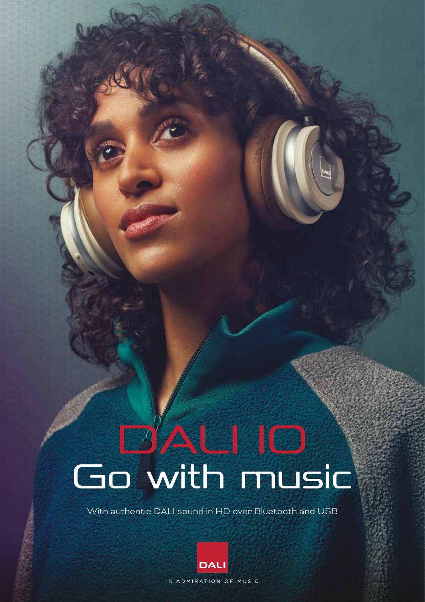# DALI IO Go with music

With authentic DALI sound in HD over Bluetooth and USB

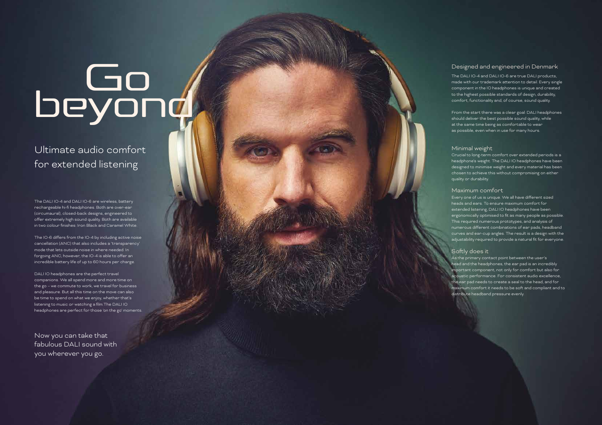Now you can take that fabulous DALI sound with you wherever you go.

Ultimate audio comfort for extended listening

The DALI IO-4 and DALI IO-6 are wireless, battery rechargeable hi-fi headphones. Both are over-ear (circumaural), closed-back designs, engineered to offer extremely high sound quality. Both are available in two colour finishes: Iron Black and Caramel White.

The IO-6 differs from the IO-4 by including active noise cancellation (ANC) that also includes a 'transparency' mode that lets outside noise in where needed. In forgoing ANC, however, the IO-4 is able to offer an incredible battery life of up to 60 hours per charge.

DALI IO headphones are the perfect travel companions. We all spend more and more time on the go – we commute to work, we travel for business and pleasure. But all this time on the move can also be time to spend on what we enjoy, whether that's listening to music or watching a film.The DALI IO headphones are perfect for those 'on the go' moments.

# Go beyond

# Designed and engineered in Denmark

The DALI IO-4 and DALI IO-6 are true DALI products, made with our trademark attention to detail. Every single component in the IO headphones is unique and created to the highest possible standards of design, durability, comfort, functionality and, of course, sound quality.

From the start there was a clear goal: DALI headphones should deliver the best possible sound quality, while at the same time being as comfortable to wear as possible, even when in use for many hours.

# Minimal weight

Crucial to long-term comfort over extended periods is a headphone's weight. The DALI IO headphones have been designed to minimise weight and every material has been chosen to achieve this without compromising on either quality or durability.

# Maximum comfort

Every one of us is unique. We all have different sized heads and ears. To ensure maximum comfort for extended listening, DALI IO headphones have been ergonomically optimised to fit as many people as possible. This required numerous prototypes, and analysis of numerous different combinations of ear pads, headband curves and ear-cup angles. The result is a design with the adjustability required to provide a natural fit for everyone.

# Softly does it

As the primary contact point between the user's head and the headphones, the ear pad is an incredibly important component, not only for comfort but also for acoustic performance. For consistent audio excellence, the ear pad needs to create a seal to the head, and for maximum comfort it needs to be soft and compliant and to distribute headband pressure evenly.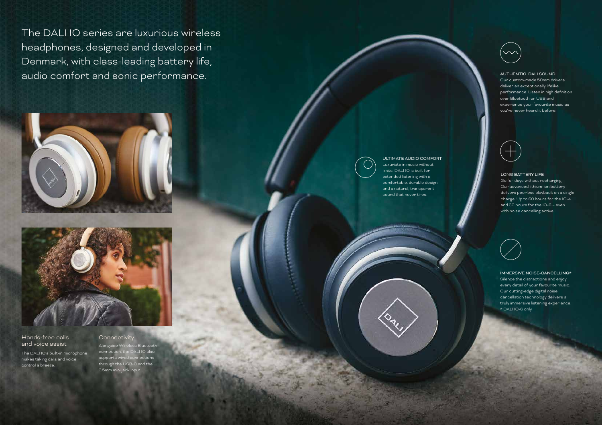Our custom-made 50mm drivers deliver an exceptionally lifelike performance. Listen in high definition over Bluetooth or USB and experience your favourite music as you've never heard it before.



# LONG BATTERY LIFE

Go for days without recharging. Our advanced lithium-ion battery delivers peerless playback on a single charge. Up to 60 hours for the IO-4 and 30 hours for the IO-6 – even with noise cancelling active.



The DALI IO series are luxurious wireless headphones, designed and developed in Denmark, with class-leading battery life, audio comfort and sonic performance.





Hands-free calls and voice assist

The DALI IO's built-in microphone makes taking calls and voice control a breeze.

## **Connectivity**

Alongside Wireless Bluetooth connection, the DALI IO also supports wired connections through the USB-C and the 3.5mm mini jack input.

ULTIMATE AUDIO COMFORT Luxuriate in music without limits. DALI IO is built for extended listening with a comfortable, durable design and a natural, transparent sound that never tires.



### IMMERSIVE NOISE-CANCELLING\*

Silence the distractions and enjoy every detail of your favourite music. Our cutting-edge digital noise cancellation technology delivers a truly immersive listening experience. \* DALI IO-6 only.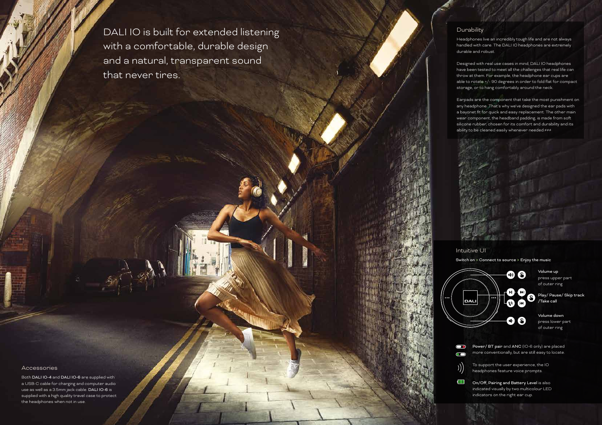DALI IO is built for extended listening with a comfortable, durable design and a natural, transparent sound that never tires.

Headphones live an incredibly tough life and are not always handled with care. The DALI IO headphones are extremely durable and robust.

Designed with real use cases in mind, DALI IO headphones have been tested to meet all the challenges that real life can throw at them. For example, the headphone ear cups are able to rotate +/- 90 degrees in order to fold flat for compact storage, or to hang comfortably around the neck.

Earpads are the component that take the most punishment on any headphone. That's why we've designed the ear pads with a bayonet fit for quick and easy replacement. The other main wear component, the headband padding, is made from soft silicone rubber, chosen for its comfort and durability and its ability to be cleaned easily whenever needed.≠≠≠



# Accessories

Both DALI IO-4 and DALI IO-6 are supplied with a USB-C cable for charging and computer audio use as well as a 3.5mm jack cable. DALI IO-6 is supplied with a high quality travel case to protect the headphones when not in use.

# **Durability**

# Intuitive UI

Switch on **>** Connect to source **>** Enjoy the music



Play/ Pause/ Skip track /Take call

Volume down press lower part of outer ring

 $\bullet$  $\overline{\bullet}$ 

Volume up press upper part of outer ring

Power/ BT pair and ANC (IO-6 only) are placed more conventionally, but are still easy to locate.



To support the user experience, the IO headphones feature voice prompts.



On/Off, Pairing and Battery Level is also indicated visually by two multicolour LED indicators on the right ear cup.